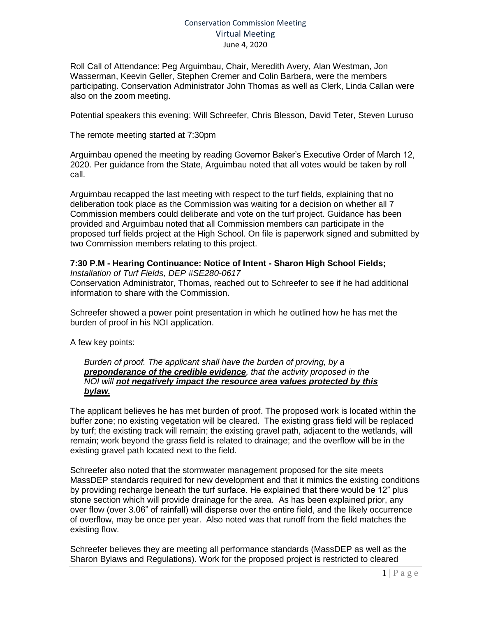## Conservation Commission Meeting Virtual Meeting June 4, 2020

Roll Call of Attendance: Peg Arguimbau, Chair, Meredith Avery, Alan Westman, Jon Wasserman, Keevin Geller, Stephen Cremer and Colin Barbera, were the members participating. Conservation Administrator John Thomas as well as Clerk, Linda Callan were also on the zoom meeting.

Potential speakers this evening: Will Schreefer, Chris Blesson, David Teter, Steven Luruso

The remote meeting started at 7:30pm

Arguimbau opened the meeting by reading Governor Baker's Executive Order of March 12, 2020. Per guidance from the State, Arguimbau noted that all votes would be taken by roll call.

Arguimbau recapped the last meeting with respect to the turf fields, explaining that no deliberation took place as the Commission was waiting for a decision on whether all 7 Commission members could deliberate and vote on the turf project. Guidance has been provided and Arguimbau noted that all Commission members can participate in the proposed turf fields project at the High School. On file is paperwork signed and submitted by two Commission members relating to this project.

# **7:30 P.M - Hearing Continuance: Notice of Intent - Sharon High School Fields;**

*Installation of Turf Fields, DEP #SE280-0617*

Conservation Administrator, Thomas, reached out to Schreefer to see if he had additional information to share with the Commission.

Schreefer showed a power point presentation in which he outlined how he has met the burden of proof in his NOI application.

A few key points:

### *Burden of proof. The applicant shall have the burden of proving, by a preponderance of the credible evidence, that the activity proposed in the NOI will not negatively impact the resource area values protected by this bylaw.*

The applicant believes he has met burden of proof. The proposed work is located within the buffer zone; no existing vegetation will be cleared. The existing grass field will be replaced by turf; the existing track will remain; the existing gravel path, adjacent to the wetlands, will remain; work beyond the grass field is related to drainage; and the overflow will be in the existing gravel path located next to the field.

Schreefer also noted that the stormwater management proposed for the site meets MassDEP standards required for new development and that it mimics the existing conditions by providing recharge beneath the turf surface. He explained that there would be 12" plus stone section which will provide drainage for the area. As has been explained prior, any over flow (over 3.06" of rainfall) will disperse over the entire field, and the likely occurrence of overflow, may be once per year. Also noted was that runoff from the field matches the existing flow.

Schreefer believes they are meeting all performance standards (MassDEP as well as the Sharon Bylaws and Regulations). Work for the proposed project is restricted to cleared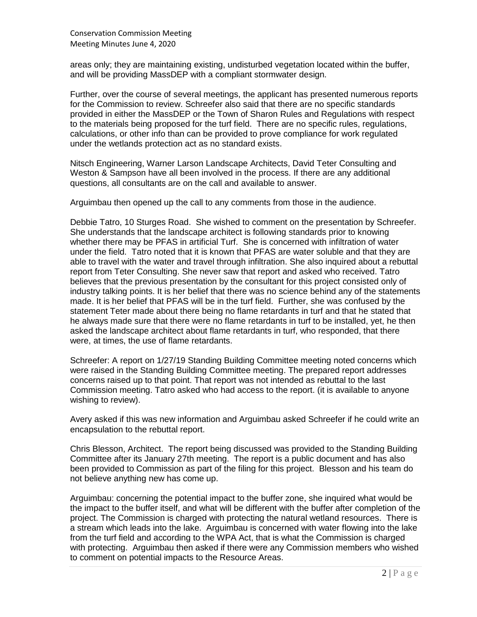areas only; they are maintaining existing, undisturbed vegetation located within the buffer, and will be providing MassDEP with a compliant stormwater design.

Further, over the course of several meetings, the applicant has presented numerous reports for the Commission to review. Schreefer also said that there are no specific standards provided in either the MassDEP or the Town of Sharon Rules and Regulations with respect to the materials being proposed for the turf field. There are no specific rules, regulations, calculations, or other info than can be provided to prove compliance for work regulated under the wetlands protection act as no standard exists.

Nitsch Engineering, Warner Larson Landscape Architects, David Teter Consulting and Weston & Sampson have all been involved in the process. If there are any additional questions, all consultants are on the call and available to answer.

Arguimbau then opened up the call to any comments from those in the audience.

Debbie Tatro, 10 Sturges Road. She wished to comment on the presentation by Schreefer. She understands that the landscape architect is following standards prior to knowing whether there may be PFAS in artificial Turf. She is concerned with infiltration of water under the field. Tatro noted that it is known that PFAS are water soluble and that they are able to travel with the water and travel through infiltration. She also inquired about a rebuttal report from Teter Consulting. She never saw that report and asked who received. Tatro believes that the previous presentation by the consultant for this project consisted only of industry talking points. It is her belief that there was no science behind any of the statements made. It is her belief that PFAS will be in the turf field. Further, she was confused by the statement Teter made about there being no flame retardants in turf and that he stated that he always made sure that there were no flame retardants in turf to be installed, yet, he then asked the landscape architect about flame retardants in turf, who responded, that there were, at times, the use of flame retardants.

Schreefer: A report on 1/27/19 Standing Building Committee meeting noted concerns which were raised in the Standing Building Committee meeting. The prepared report addresses concerns raised up to that point. That report was not intended as rebuttal to the last Commission meeting. Tatro asked who had access to the report. (it is available to anyone wishing to review).

Avery asked if this was new information and Arguimbau asked Schreefer if he could write an encapsulation to the rebuttal report.

Chris Blesson, Architect. The report being discussed was provided to the Standing Building Committee after its January 27th meeting. The report is a public document and has also been provided to Commission as part of the filing for this project. Blesson and his team do not believe anything new has come up.

Arguimbau: concerning the potential impact to the buffer zone, she inquired what would be the impact to the buffer itself, and what will be different with the buffer after completion of the project. The Commission is charged with protecting the natural wetland resources. There is a stream which leads into the lake. Arguimbau is concerned with water flowing into the lake from the turf field and according to the WPA Act, that is what the Commission is charged with protecting. Arguimbau then asked if there were any Commission members who wished to comment on potential impacts to the Resource Areas.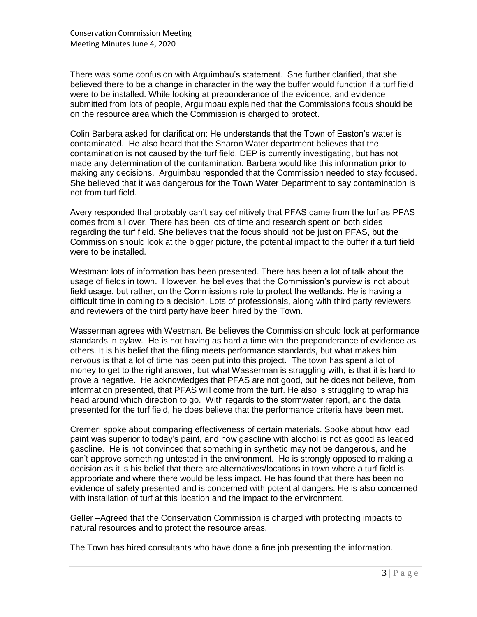There was some confusion with Arguimbau's statement. She further clarified, that she believed there to be a change in character in the way the buffer would function if a turf field were to be installed. While looking at preponderance of the evidence, and evidence submitted from lots of people, Arguimbau explained that the Commissions focus should be on the resource area which the Commission is charged to protect.

Colin Barbera asked for clarification: He understands that the Town of Easton's water is contaminated. He also heard that the Sharon Water department believes that the contamination is not caused by the turf field. DEP is currently investigating, but has not made any determination of the contamination. Barbera would like this information prior to making any decisions. Arguimbau responded that the Commission needed to stay focused. She believed that it was dangerous for the Town Water Department to say contamination is not from turf field.

Avery responded that probably can't say definitively that PFAS came from the turf as PFAS comes from all over. There has been lots of time and research spent on both sides regarding the turf field. She believes that the focus should not be just on PFAS, but the Commission should look at the bigger picture, the potential impact to the buffer if a turf field were to be installed.

Westman: lots of information has been presented. There has been a lot of talk about the usage of fields in town. However, he believes that the Commission's purview is not about field usage, but rather, on the Commission's role to protect the wetlands. He is having a difficult time in coming to a decision. Lots of professionals, along with third party reviewers and reviewers of the third party have been hired by the Town.

Wasserman agrees with Westman. Be believes the Commission should look at performance standards in bylaw. He is not having as hard a time with the preponderance of evidence as others. It is his belief that the filing meets performance standards, but what makes him nervous is that a lot of time has been put into this project. The town has spent a lot of money to get to the right answer, but what Wasserman is struggling with, is that it is hard to prove a negative. He acknowledges that PFAS are not good, but he does not believe, from information presented, that PFAS will come from the turf. He also is struggling to wrap his head around which direction to go. With regards to the stormwater report, and the data presented for the turf field, he does believe that the performance criteria have been met.

Cremer: spoke about comparing effectiveness of certain materials. Spoke about how lead paint was superior to today's paint, and how gasoline with alcohol is not as good as leaded gasoline. He is not convinced that something in synthetic may not be dangerous, and he can't approve something untested in the environment. He is strongly opposed to making a decision as it is his belief that there are alternatives/locations in town where a turf field is appropriate and where there would be less impact. He has found that there has been no evidence of safety presented and is concerned with potential dangers. He is also concerned with installation of turf at this location and the impact to the environment.

Geller –Agreed that the Conservation Commission is charged with protecting impacts to natural resources and to protect the resource areas.

The Town has hired consultants who have done a fine job presenting the information.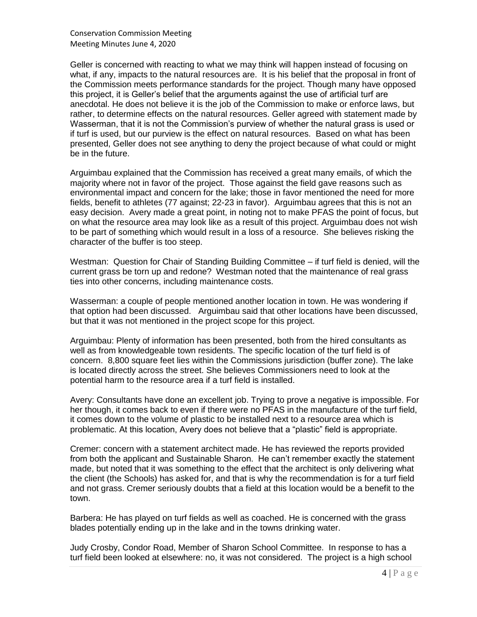Conservation Commission Meeting Meeting Minutes June 4, 2020

Geller is concerned with reacting to what we may think will happen instead of focusing on what, if any, impacts to the natural resources are. It is his belief that the proposal in front of the Commission meets performance standards for the project. Though many have opposed this project, it is Geller's belief that the arguments against the use of artificial turf are anecdotal. He does not believe it is the job of the Commission to make or enforce laws, but rather, to determine effects on the natural resources. Geller agreed with statement made by Wasserman, that it is not the Commission's purview of whether the natural grass is used or if turf is used, but our purview is the effect on natural resources. Based on what has been presented, Geller does not see anything to deny the project because of what could or might be in the future.

Arguimbau explained that the Commission has received a great many emails, of which the majority where not in favor of the project. Those against the field gave reasons such as environmental impact and concern for the lake; those in favor mentioned the need for more fields, benefit to athletes (77 against; 22-23 in favor). Arguimbau agrees that this is not an easy decision. Avery made a great point, in noting not to make PFAS the point of focus, but on what the resource area may look like as a result of this project. Arguimbau does not wish to be part of something which would result in a loss of a resource. She believes risking the character of the buffer is too steep.

Westman: Question for Chair of Standing Building Committee – if turf field is denied, will the current grass be torn up and redone? Westman noted that the maintenance of real grass ties into other concerns, including maintenance costs.

Wasserman: a couple of people mentioned another location in town. He was wondering if that option had been discussed. Arguimbau said that other locations have been discussed, but that it was not mentioned in the project scope for this project.

Arguimbau: Plenty of information has been presented, both from the hired consultants as well as from knowledgeable town residents. The specific location of the turf field is of concern. 8,800 square feet lies within the Commissions jurisdiction (buffer zone). The lake is located directly across the street. She believes Commissioners need to look at the potential harm to the resource area if a turf field is installed.

Avery: Consultants have done an excellent job. Trying to prove a negative is impossible. For her though, it comes back to even if there were no PFAS in the manufacture of the turf field, it comes down to the volume of plastic to be installed next to a resource area which is problematic. At this location, Avery does not believe that a "plastic" field is appropriate.

Cremer: concern with a statement architect made. He has reviewed the reports provided from both the applicant and Sustainable Sharon. He can't remember exactly the statement made, but noted that it was something to the effect that the architect is only delivering what the client (the Schools) has asked for, and that is why the recommendation is for a turf field and not grass. Cremer seriously doubts that a field at this location would be a benefit to the town.

Barbera: He has played on turf fields as well as coached. He is concerned with the grass blades potentially ending up in the lake and in the towns drinking water.

Judy Crosby, Condor Road, Member of Sharon School Committee. In response to has a turf field been looked at elsewhere: no, it was not considered. The project is a high school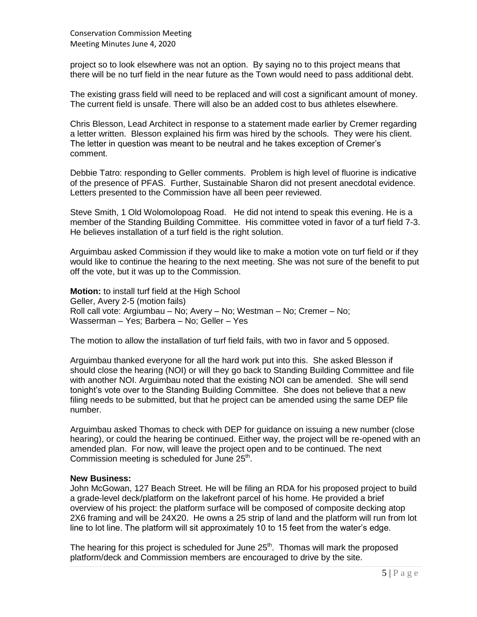project so to look elsewhere was not an option. By saying no to this project means that there will be no turf field in the near future as the Town would need to pass additional debt.

The existing grass field will need to be replaced and will cost a significant amount of money. The current field is unsafe. There will also be an added cost to bus athletes elsewhere.

Chris Blesson, Lead Architect in response to a statement made earlier by Cremer regarding a letter written. Blesson explained his firm was hired by the schools. They were his client. The letter in question was meant to be neutral and he takes exception of Cremer's comment.

Debbie Tatro: responding to Geller comments. Problem is high level of fluorine is indicative of the presence of PFAS. Further, Sustainable Sharon did not present anecdotal evidence. Letters presented to the Commission have all been peer reviewed.

Steve Smith, 1 Old Wolomolopoag Road. He did not intend to speak this evening. He is a member of the Standing Building Committee. His committee voted in favor of a turf field 7-3. He believes installation of a turf field is the right solution.

Arguimbau asked Commission if they would like to make a motion vote on turf field or if they would like to continue the hearing to the next meeting. She was not sure of the benefit to put off the vote, but it was up to the Commission.

**Motion:** to install turf field at the High School Geller, Avery 2-5 (motion fails) Roll call vote: Argiumbau – No; Avery – No; Westman – No; Cremer – No; Wasserman – Yes; Barbera – No; Geller – Yes

The motion to allow the installation of turf field fails, with two in favor and 5 opposed.

Arguimbau thanked everyone for all the hard work put into this. She asked Blesson if should close the hearing (NOI) or will they go back to Standing Building Committee and file with another NOI. Arguimbau noted that the existing NOI can be amended. She will send tonight's vote over to the Standing Building Committee. She does not believe that a new filing needs to be submitted, but that he project can be amended using the same DEP file number.

Arguimbau asked Thomas to check with DEP for guidance on issuing a new number (close hearing), or could the hearing be continued. Either way, the project will be re-opened with an amended plan. For now, will leave the project open and to be continued. The next Commission meeting is scheduled for June  $25<sup>th</sup>$ .

#### **New Business:**

John McGowan, 127 Beach Street. He will be filing an RDA for his proposed project to build a grade-level deck/platform on the lakefront parcel of his home. He provided a brief overview of his project: the platform surface will be composed of composite decking atop 2X6 framing and will be 24X20. He owns a 25 strip of land and the platform will run from lot line to lot line. The platform will sit approximately 10 to 15 feet from the water's edge.

The hearing for this project is scheduled for June  $25<sup>th</sup>$ . Thomas will mark the proposed platform/deck and Commission members are encouraged to drive by the site.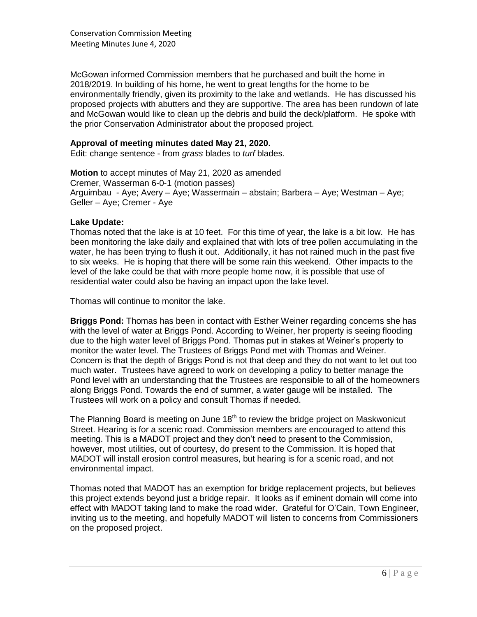Conservation Commission Meeting Meeting Minutes June 4, 2020

McGowan informed Commission members that he purchased and built the home in 2018/2019. In building of his home, he went to great lengths for the home to be environmentally friendly, given its proximity to the lake and wetlands. He has discussed his proposed projects with abutters and they are supportive. The area has been rundown of late and McGowan would like to clean up the debris and build the deck/platform. He spoke with the prior Conservation Administrator about the proposed project.

### **Approval of meeting minutes dated May 21, 2020.**

Edit: change sentence - from *grass* blades to *turf* blades.

**Motion** to accept minutes of May 21, 2020 as amended Cremer, Wasserman 6-0-1 (motion passes) Arguimbau - Aye; Avery – Aye; Wassermain – abstain; Barbera – Aye; Westman – Aye; Geller – Aye; Cremer - Aye

#### **Lake Update:**

Thomas noted that the lake is at 10 feet. For this time of year, the lake is a bit low. He has been monitoring the lake daily and explained that with lots of tree pollen accumulating in the water, he has been trying to flush it out. Additionally, it has not rained much in the past five to six weeks. He is hoping that there will be some rain this weekend. Other impacts to the level of the lake could be that with more people home now, it is possible that use of residential water could also be having an impact upon the lake level.

Thomas will continue to monitor the lake.

**Briggs Pond:** Thomas has been in contact with Esther Weiner regarding concerns she has with the level of water at Briggs Pond. According to Weiner, her property is seeing flooding due to the high water level of Briggs Pond. Thomas put in stakes at Weiner's property to monitor the water level. The Trustees of Briggs Pond met with Thomas and Weiner. Concern is that the depth of Briggs Pond is not that deep and they do not want to let out too much water. Trustees have agreed to work on developing a policy to better manage the Pond level with an understanding that the Trustees are responsible to all of the homeowners along Briggs Pond. Towards the end of summer, a water gauge will be installed. The Trustees will work on a policy and consult Thomas if needed.

The Planning Board is meeting on June  $18<sup>th</sup>$  to review the bridge project on Maskwonicut Street. Hearing is for a scenic road. Commission members are encouraged to attend this meeting. This is a MADOT project and they don't need to present to the Commission, however, most utilities, out of courtesy, do present to the Commission. It is hoped that MADOT will install erosion control measures, but hearing is for a scenic road, and not environmental impact.

Thomas noted that MADOT has an exemption for bridge replacement projects, but believes this project extends beyond just a bridge repair. It looks as if eminent domain will come into effect with MADOT taking land to make the road wider. Grateful for O'Cain, Town Engineer, inviting us to the meeting, and hopefully MADOT will listen to concerns from Commissioners on the proposed project.